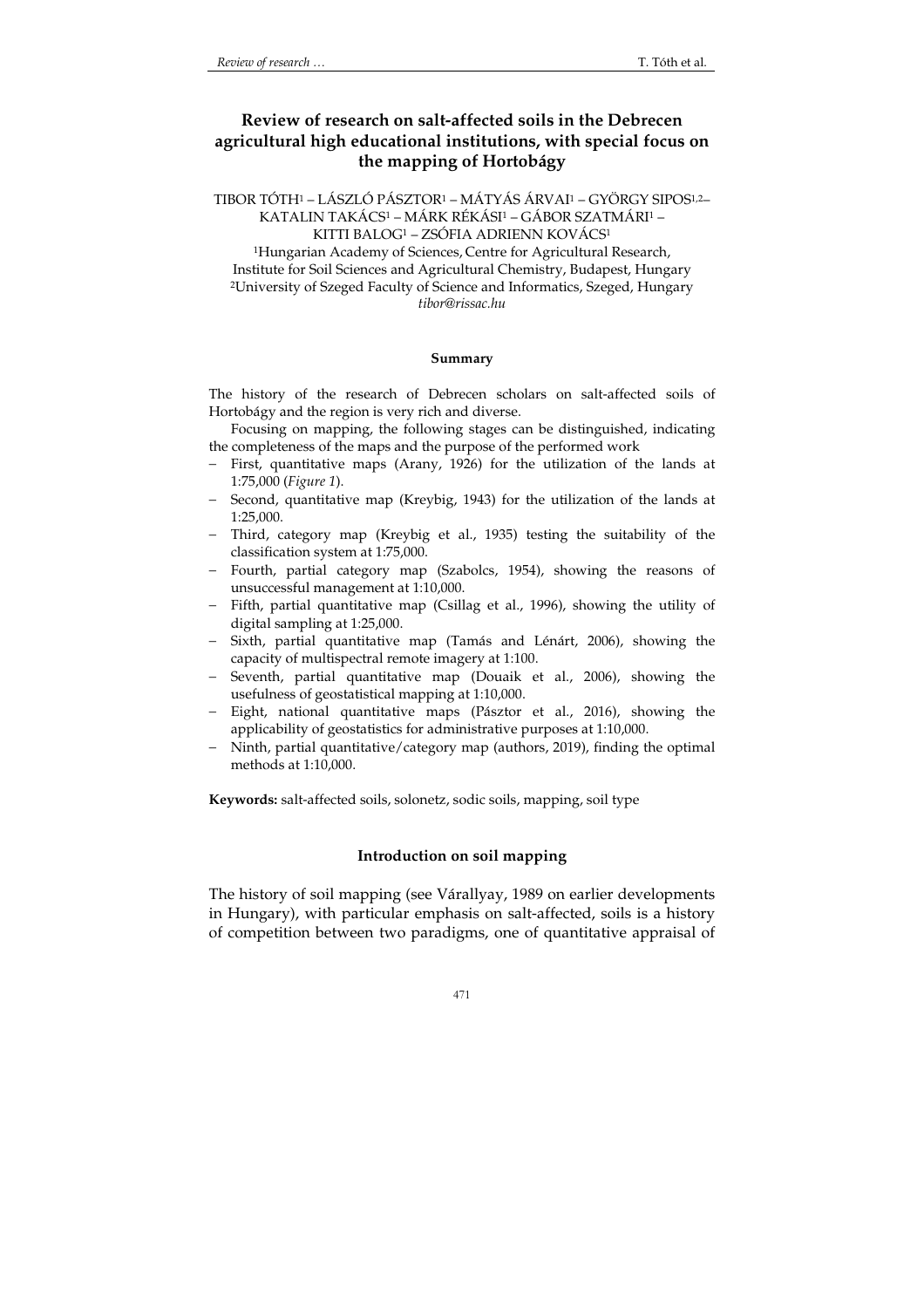# **Review of research on salt-affected soils in the Debrecen agricultural high educational institutions, with special focus on the mapping of Hortobágy**

TIBOR TÓTH1 – LÁSZLÓ PÁSZTOR1 – MÁTYÁS ÁRVAI1 – GYÖRGY SIPOS1,2– KATALIN TAKÁCS1 – MÁRK RÉKÁSI1 – GÁBOR SZATMÁRI1 –

KITTI BALOG1 – ZSÓFIA ADRIENN KOVÁCS<sup>1</sup>

<sup>1</sup>Hungarian Academy of Sciences, Centre for Agricultural Research, Institute for Soil Sciences and Agricultural Chemistry, Budapest, Hungary <sup>2</sup>University of Szeged Faculty of Science and Informatics, Szeged, Hungary *tibor@rissac.hu*

#### **Summary**

The history of the research of Debrecen scholars on salt-affected soils of Hortobágy and the region is very rich and diverse.

Focusing on mapping, the following stages can be distinguished, indicating the completeness of the maps and the purpose of the performed work

- − First, quantitative maps (Arany, 1926) for the utilization of the lands at 1:75,000 (*Figure 1*).
- − Second, quantitative map (Kreybig, 1943) for the utilization of the lands at 1:25,000.
- Third, category map (Kreybig et al., 1935) testing the suitability of the classification system at 1:75,000.
- − Fourth, partial category map (Szabolcs, 1954), showing the reasons of unsuccessful management at 1:10,000.
- − Fifth, partial quantitative map (Csillag et al., 1996), showing the utility of digital sampling at 1:25,000.
- − Sixth, partial quantitative map (Tamás and Lénárt, 2006), showing the capacity of multispectral remote imagery at 1:100.
- − Seventh, partial quantitative map (Douaik et al., 2006), showing the usefulness of geostatistical mapping at 1:10,000.
- − Eight, national quantitative maps (Pásztor et al., 2016), showing the applicability of geostatistics for administrative purposes at 1:10,000.
- Ninth, partial quantitative/category map (authors, 2019), finding the optimal methods at 1:10,000.

**Keywords:** salt-affected soils, solonetz, sodic soils, mapping, soil type

## **Introduction on soil mapping**

The history of soil mapping (see Várallyay, 1989 on earlier developments in Hungary), with particular emphasis on salt-affected, soils is a history of competition between two paradigms, one of quantitative appraisal of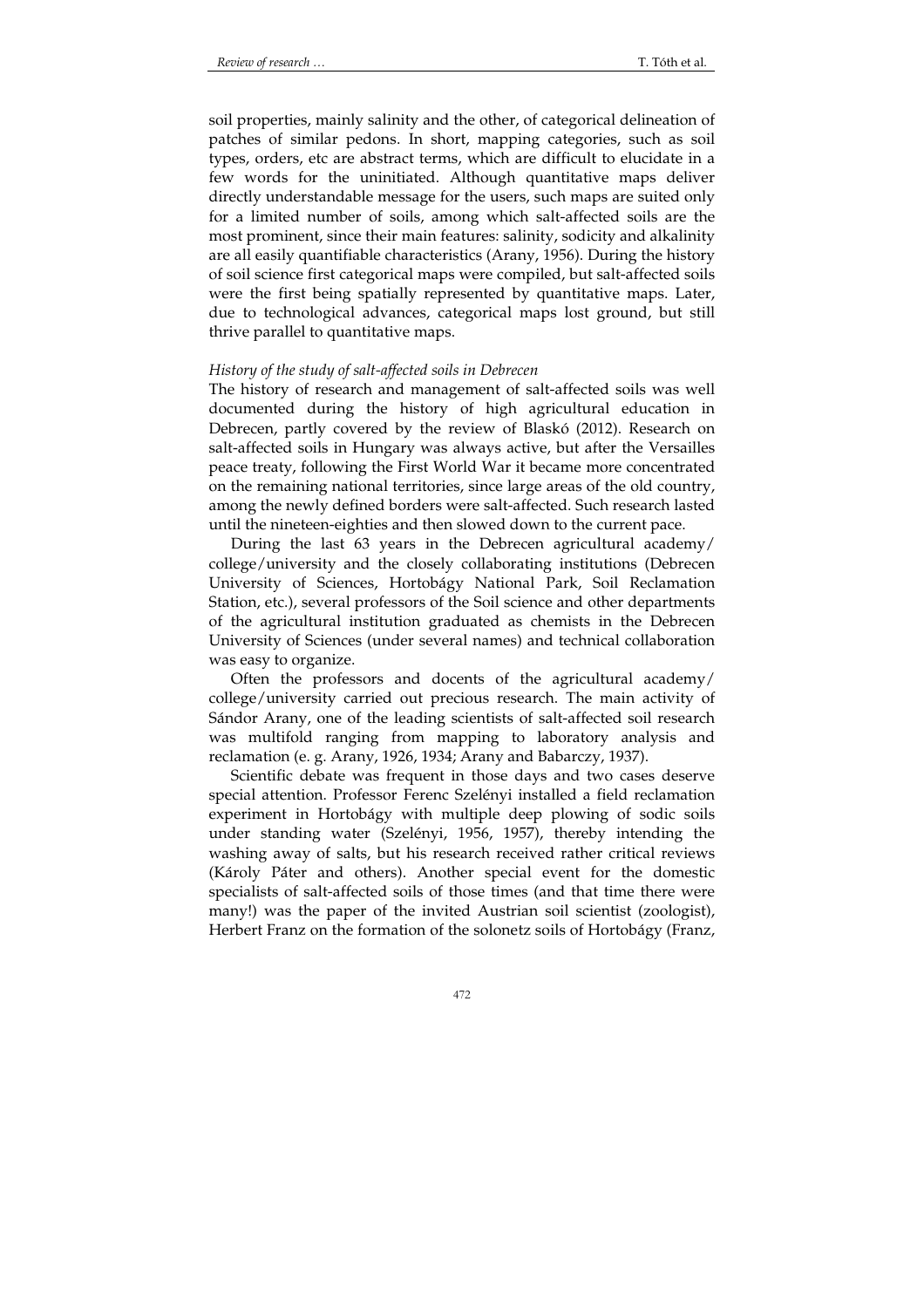soil properties, mainly salinity and the other, of categorical delineation of patches of similar pedons. In short, mapping categories, such as soil types, orders, etc are abstract terms, which are difficult to elucidate in a few words for the uninitiated. Although quantitative maps deliver directly understandable message for the users, such maps are suited only for a limited number of soils, among which salt-affected soils are the most prominent, since their main features: salinity, sodicity and alkalinity are all easily quantifiable characteristics (Arany, 1956). During the history of soil science first categorical maps were compiled, but salt-affected soils were the first being spatially represented by quantitative maps. Later, due to technological advances, categorical maps lost ground, but still thrive parallel to quantitative maps.

#### *History of the study of salt-affected soils in Debrecen*

The history of research and management of salt-affected soils was well documented during the history of high agricultural education in Debrecen, partly covered by the review of Blaskó (2012). Research on salt-affected soils in Hungary was always active, but after the Versailles peace treaty, following the First World War it became more concentrated on the remaining national territories, since large areas of the old country, among the newly defined borders were salt-affected. Such research lasted until the nineteen-eighties and then slowed down to the current pace.

During the last 63 years in the Debrecen agricultural academy/ college/university and the closely collaborating institutions (Debrecen University of Sciences, Hortobágy National Park, Soil Reclamation Station, etc.), several professors of the Soil science and other departments of the agricultural institution graduated as chemists in the Debrecen University of Sciences (under several names) and technical collaboration was easy to organize.

Often the professors and docents of the agricultural academy/ college/university carried out precious research. The main activity of Sándor Arany, one of the leading scientists of salt-affected soil research was multifold ranging from mapping to laboratory analysis and reclamation (e. g. Arany, 1926, 1934; Arany and Babarczy, 1937).

Scientific debate was frequent in those days and two cases deserve special attention. Professor Ferenc Szelényi installed a field reclamation experiment in Hortobágy with multiple deep plowing of sodic soils under standing water (Szelényi, 1956, 1957), thereby intending the washing away of salts, but his research received rather critical reviews (Károly Páter and others). Another special event for the domestic specialists of salt-affected soils of those times (and that time there were many!) was the paper of the invited Austrian soil scientist (zoologist), Herbert Franz on the formation of the solonetz soils of Hortobágy (Franz,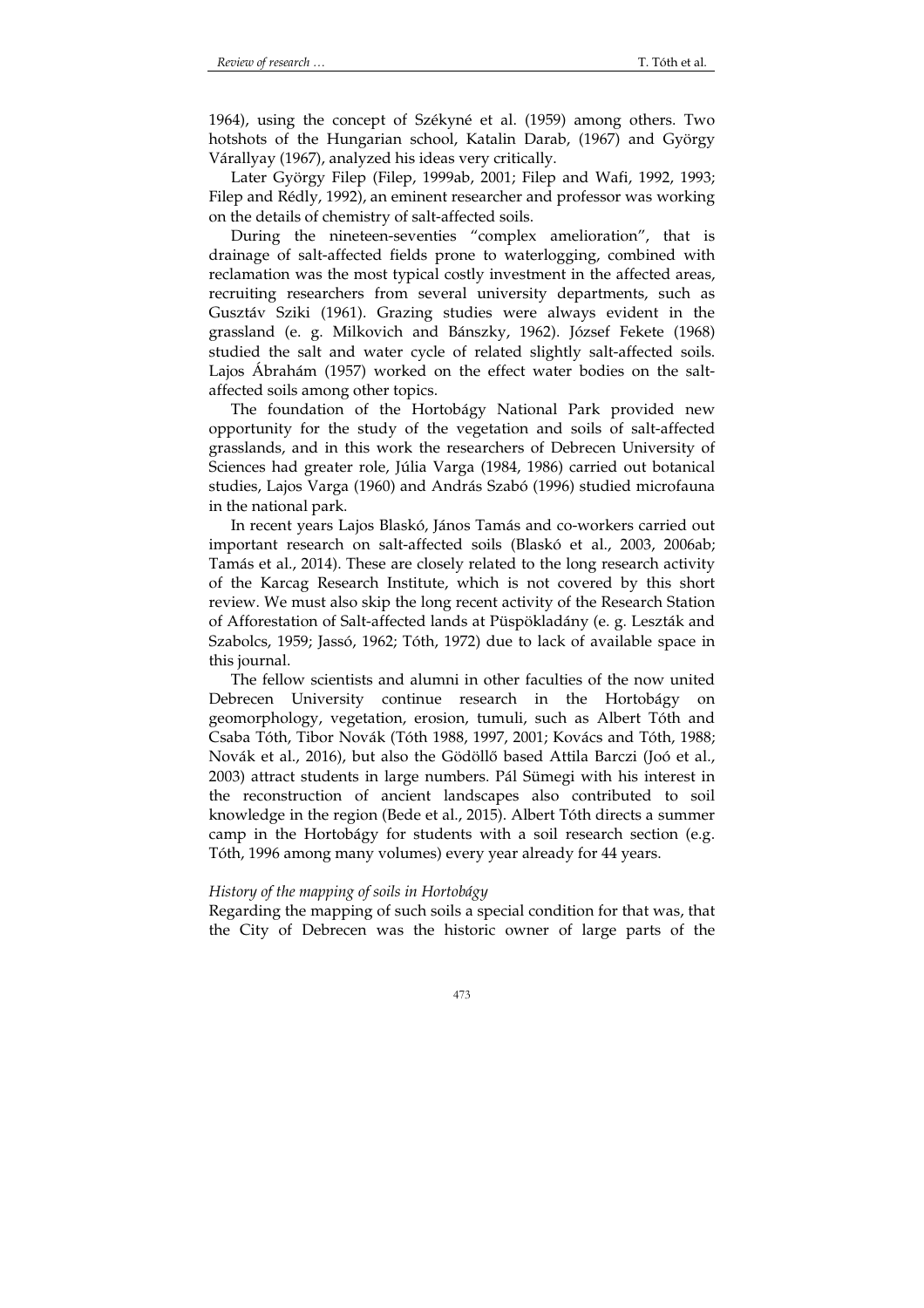1964), using the concept of Székyné et al. (1959) among others. Two hotshots of the Hungarian school, Katalin Darab, (1967) and György Várallyay (1967), analyzed his ideas very critically.

Later György Filep (Filep, 1999ab, 2001; Filep and Wafi, 1992, 1993; Filep and Rédly, 1992), an eminent researcher and professor was working on the details of chemistry of salt-affected soils.

During the nineteen-seventies "complex amelioration", that is drainage of salt-affected fields prone to waterlogging, combined with reclamation was the most typical costly investment in the affected areas, recruiting researchers from several university departments, such as Gusztáv Sziki (1961). Grazing studies were always evident in the grassland (e. g. Milkovich and Bánszky, 1962). József Fekete (1968) studied the salt and water cycle of related slightly salt-affected soils. Lajos Ábrahám (1957) worked on the effect water bodies on the saltaffected soils among other topics.

The foundation of the Hortobágy National Park provided new opportunity for the study of the vegetation and soils of salt-affected grasslands, and in this work the researchers of Debrecen University of Sciences had greater role, Júlia Varga (1984, 1986) carried out botanical studies, Lajos Varga (1960) and András Szabó (1996) studied microfauna in the national park.

In recent years Lajos Blaskó, János Tamás and co-workers carried out important research on salt-affected soils (Blaskó et al., 2003, 2006ab; Tamás et al., 2014). These are closely related to the long research activity of the Karcag Research Institute, which is not covered by this short review. We must also skip the long recent activity of the Research Station of Afforestation of Salt-affected lands at Püspökladány (e. g. Leszták and Szabolcs, 1959; Jassó, 1962; Tóth, 1972) due to lack of available space in this journal.

The fellow scientists and alumni in other faculties of the now united Debrecen University continue research in the Hortobágy on geomorphology, vegetation, erosion, tumuli, such as Albert Tóth and Csaba Tóth, Tibor Novák (Tóth 1988, 1997, 2001; Kovács and Tóth, 1988; Novák et al., 2016), but also the Gödöllő based Attila Barczi (Joó et al., 2003) attract students in large numbers. Pál Sümegi with his interest in the reconstruction of ancient landscapes also contributed to soil knowledge in the region (Bede et al., 2015). Albert Tóth directs a summer camp in the Hortobágy for students with a soil research section (e.g. Tóth, 1996 among many volumes) every year already for 44 years.

#### *History of the mapping of soils in Hortobágy*

Regarding the mapping of such soils a special condition for that was, that the City of Debrecen was the historic owner of large parts of the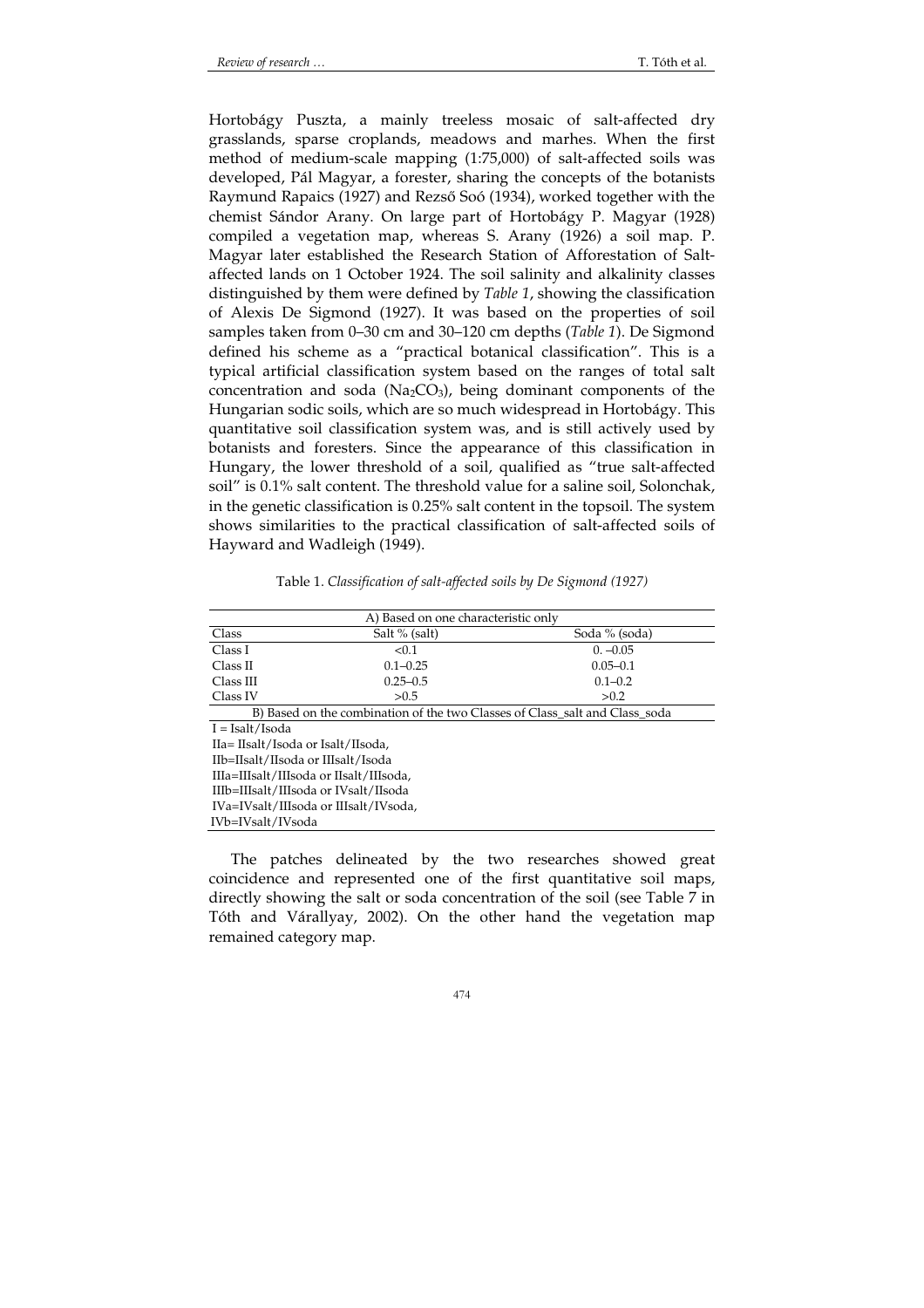Hortobágy Puszta, a mainly treeless mosaic of salt-affected dry grasslands, sparse croplands, meadows and marhes. When the first method of medium-scale mapping (1:75,000) of salt-affected soils was developed, Pál Magyar, a forester, sharing the concepts of the botanists Raymund Rapaics (1927) and Rezső Soó (1934), worked together with the chemist Sándor Arany. On large part of Hortobágy P. Magyar (1928) compiled a vegetation map, whereas S. Arany (1926) a soil map. P. Magyar later established the Research Station of Afforestation of Saltaffected lands on 1 October 1924. The soil salinity and alkalinity classes distinguished by them were defined by *Table 1*, showing the classification of Alexis De Sigmond (1927). It was based on the properties of soil samples taken from 0–30 cm and 30–120 cm depths (*Table 1*). De Sigmond defined his scheme as a "practical botanical classification". This is a typical artificial classification system based on the ranges of total salt concentration and soda (Na<sub>2</sub>CO<sub>3</sub>), being dominant components of the Hungarian sodic soils, which are so much widespread in Hortobágy. This quantitative soil classification system was, and is still actively used by botanists and foresters. Since the appearance of this classification in Hungary, the lower threshold of a soil, qualified as "true salt-affected soil" is 0.1% salt content. The threshold value for a saline soil, Solonchak, in the genetic classification is 0.25% salt content in the topsoil. The system shows similarities to the practical classification of salt-affected soils of Hayward and Wadleigh (1949).

| A) Based on one characteristic only                                         |               |               |  |
|-----------------------------------------------------------------------------|---------------|---------------|--|
| Class                                                                       | Salt % (salt) | Soda % (soda) |  |
| Class I                                                                     | < 0.1         | $0. -0.05$    |  |
| Class II                                                                    | $0.1 - 0.25$  | $0.05 - 0.1$  |  |
| Class III                                                                   | $0.25 - 0.5$  | $0.1 - 0.2$   |  |
| Class IV                                                                    | >0.5          | >0.2          |  |
| B) Based on the combination of the two Classes of Class salt and Class soda |               |               |  |
| $I = Isalt/Isoda$                                                           |               |               |  |
| IIa= IIsalt/Isoda or Isalt/IIsoda.                                          |               |               |  |
| IIb=IIsalt/IIsoda or IIIsalt/Isoda                                          |               |               |  |
| IIIa=IIIsalt/IIIsoda or IIsalt/IIIsoda.                                     |               |               |  |
| IIIb=IIIsalt/IIIsoda or IVsalt/IIsoda                                       |               |               |  |
| IVa=IVsalt/IIIsoda or IIIsalt/IVsoda.                                       |               |               |  |
| IVb=IVsalt/IVsoda                                                           |               |               |  |

Table 1. *Classification of salt-affected soils by De Sigmond (1927)* 

The patches delineated by the two researches showed great coincidence and represented one of the first quantitative soil maps, directly showing the salt or soda concentration of the soil (see Table 7 in Tóth and Várallyay, 2002). On the other hand the vegetation map remained category map.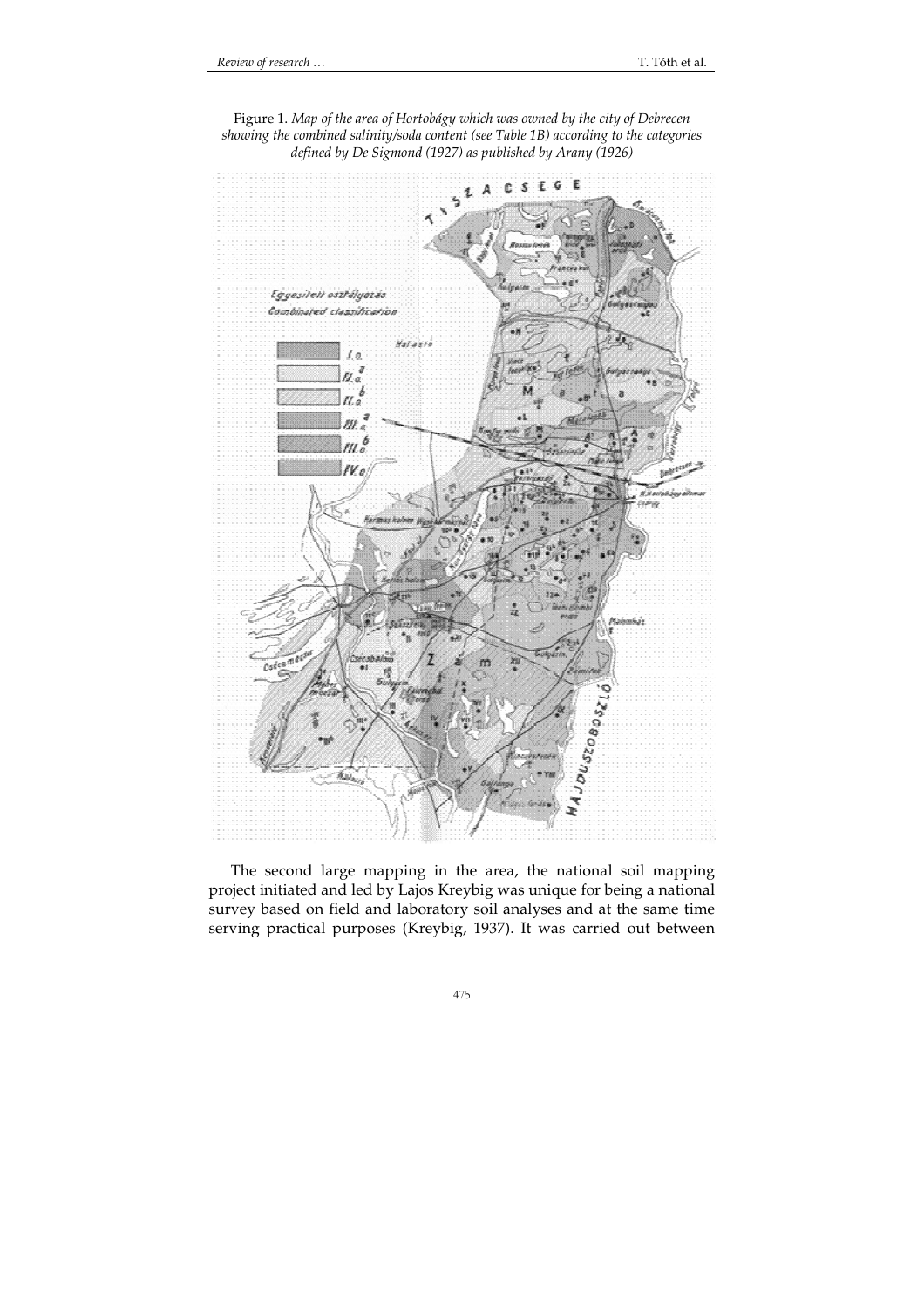

Figure 1. *Map of the area of Hortobágy which was owned by the city of Debrecen showing the combined salinity/soda content (see Table 1B) according to the categories defined by De Sigmond (1927) as published by Arany (1926)* 

The second large mapping in the area, the national soil mapping project initiated and led by Lajos Kreybig was unique for being a national survey based on field and laboratory soil analyses and at the same time serving practical purposes (Kreybig, 1937). It was carried out between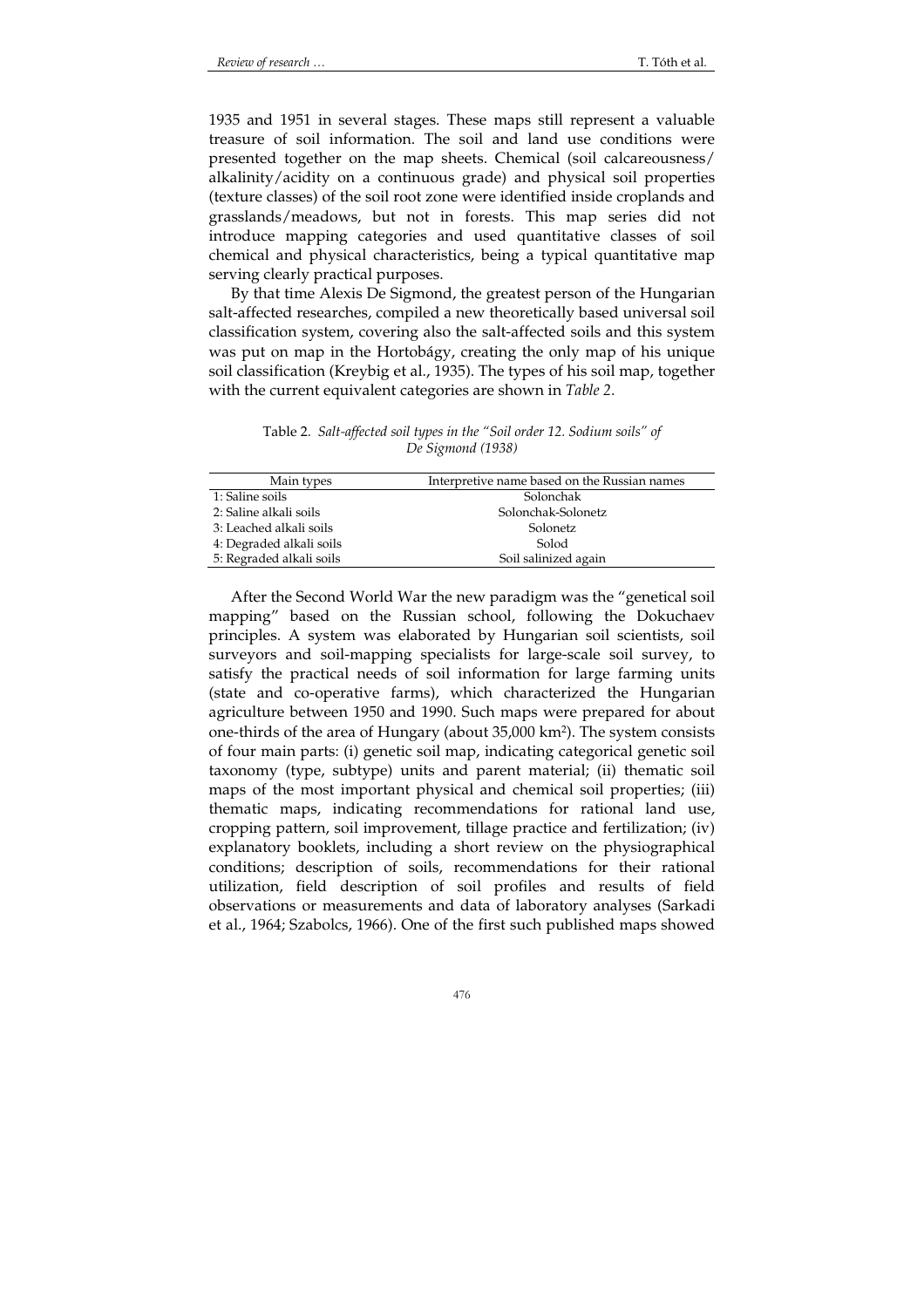1935 and 1951 in several stages. These maps still represent a valuable treasure of soil information. The soil and land use conditions were presented together on the map sheets. Chemical (soil calcareousness/ alkalinity/acidity on a continuous grade) and physical soil properties (texture classes) of the soil root zone were identified inside croplands and grasslands/meadows, but not in forests. This map series did not introduce mapping categories and used quantitative classes of soil chemical and physical characteristics, being a typical quantitative map serving clearly practical purposes.

By that time Alexis De Sigmond, the greatest person of the Hungarian salt-affected researches, compiled a new theoretically based universal soil classification system, covering also the salt-affected soils and this system was put on map in the Hortobágy, creating the only map of his unique soil classification (Kreybig et al., 1935). The types of his soil map, together with the current equivalent categories are shown in *Table 2*.

Table 2.*Salt-affected soil types in the "Soil order 12. Sodium soils" of De Sigmond (1938)* 

| Main types               | Interpretive name based on the Russian names |
|--------------------------|----------------------------------------------|
| 1: Saline soils          | Solonchak                                    |
| 2: Saline alkali soils   | Solonchak-Solonetz                           |
| 3: Leached alkali soils  | Solonetz                                     |
| 4: Degraded alkali soils | Solod                                        |
| 5: Regraded alkali soils | Soil salinized again                         |

After the Second World War the new paradigm was the "genetical soil mapping" based on the Russian school, following the Dokuchaev principles. A system was elaborated by Hungarian soil scientists, soil surveyors and soil-mapping specialists for large-scale soil survey, to satisfy the practical needs of soil information for large farming units (state and co-operative farms), which characterized the Hungarian agriculture between 1950 and 1990. Such maps were prepared for about one-thirds of the area of Hungary (about 35,000 km<sup>2</sup> ). The system consists of four main parts: (i) genetic soil map, indicating categorical genetic soil taxonomy (type, subtype) units and parent material; (ii) thematic soil maps of the most important physical and chemical soil properties; (iii) thematic maps, indicating recommendations for rational land use, cropping pattern, soil improvement, tillage practice and fertilization; (iv) explanatory booklets, including a short review on the physiographical conditions; description of soils, recommendations for their rational utilization, field description of soil profiles and results of field observations or measurements and data of laboratory analyses (Sarkadi et al., 1964; Szabolcs, 1966). One of the first such published maps showed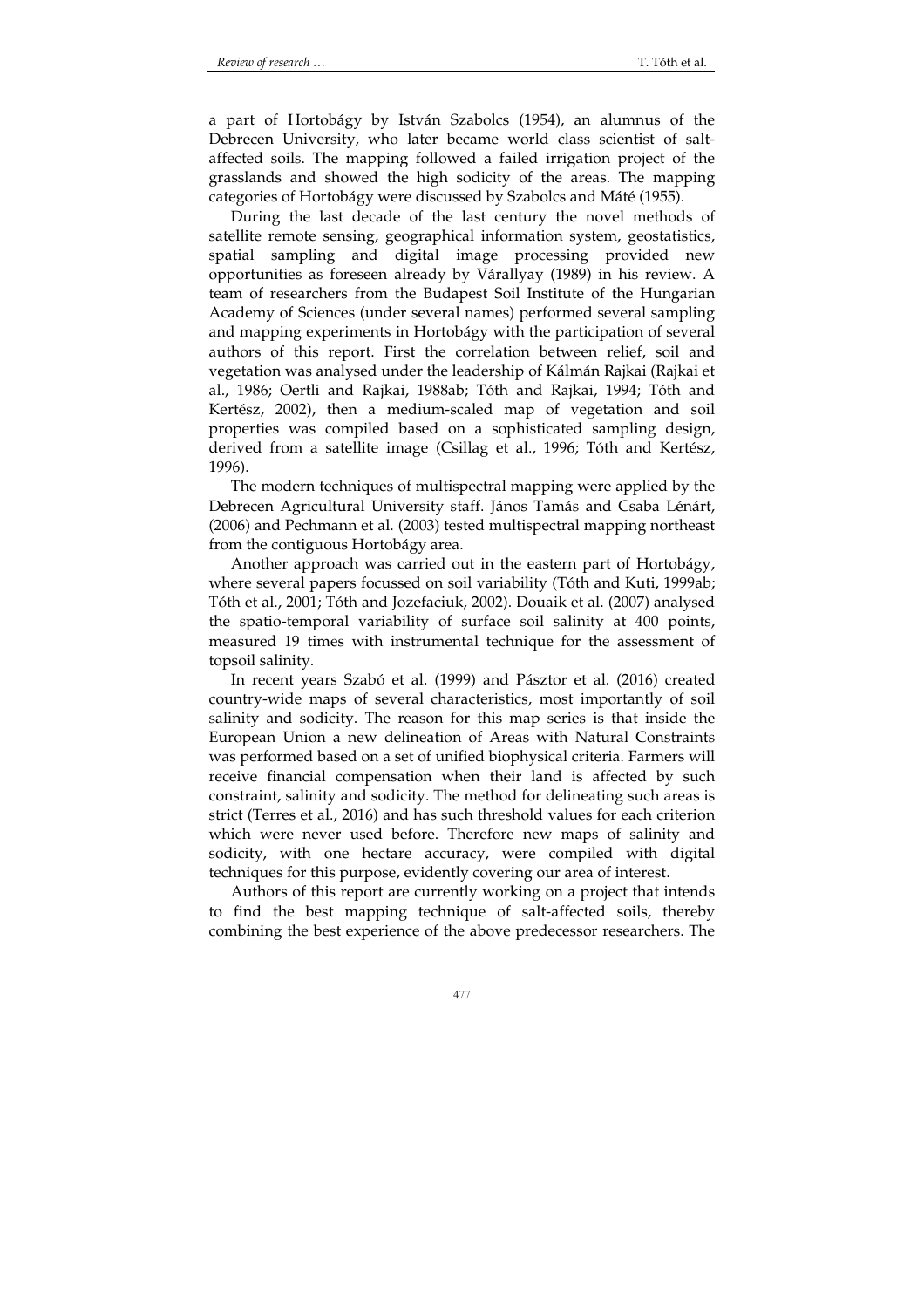a part of Hortobágy by István Szabolcs (1954), an alumnus of the Debrecen University, who later became world class scientist of saltaffected soils. The mapping followed a failed irrigation project of the grasslands and showed the high sodicity of the areas. The mapping categories of Hortobágy were discussed by Szabolcs and Máté (1955).

During the last decade of the last century the novel methods of satellite remote sensing, geographical information system, geostatistics, spatial sampling and digital image processing provided new opportunities as foreseen already by Várallyay (1989) in his review. A team of researchers from the Budapest Soil Institute of the Hungarian Academy of Sciences (under several names) performed several sampling and mapping experiments in Hortobágy with the participation of several authors of this report. First the correlation between relief, soil and vegetation was analysed under the leadership of Kálmán Rajkai (Rajkai et al., 1986; Oertli and Rajkai, 1988ab; Tóth and Rajkai, 1994; Tóth and Kertész, 2002), then a medium-scaled map of vegetation and soil properties was compiled based on a sophisticated sampling design, derived from a satellite image (Csillag et al., 1996; Tóth and Kertész, 1996).

The modern techniques of multispectral mapping were applied by the Debrecen Agricultural University staff. János Tamás and Csaba Lénárt, (2006) and Pechmann et al. (2003) tested multispectral mapping northeast from the contiguous Hortobágy area.

Another approach was carried out in the eastern part of Hortobágy, where several papers focussed on soil variability (Tóth and Kuti, 1999ab; Tóth et al., 2001; Tóth and Jozefaciuk, 2002). Douaik et al. (2007) analysed the spatio-temporal variability of surface soil salinity at 400 points, measured 19 times with instrumental technique for the assessment of topsoil salinity.

In recent years Szabó et al. (1999) and Pásztor et al. (2016) created country-wide maps of several characteristics, most importantly of soil salinity and sodicity. The reason for this map series is that inside the European Union a new delineation of Areas with Natural Constraints was performed based on a set of unified biophysical criteria. Farmers will receive financial compensation when their land is affected by such constraint, salinity and sodicity. The method for delineating such areas is strict (Terres et al., 2016) and has such threshold values for each criterion which were never used before. Therefore new maps of salinity and sodicity, with one hectare accuracy, were compiled with digital techniques for this purpose, evidently covering our area of interest.

Authors of this report are currently working on a project that intends to find the best mapping technique of salt-affected soils, thereby combining the best experience of the above predecessor researchers. The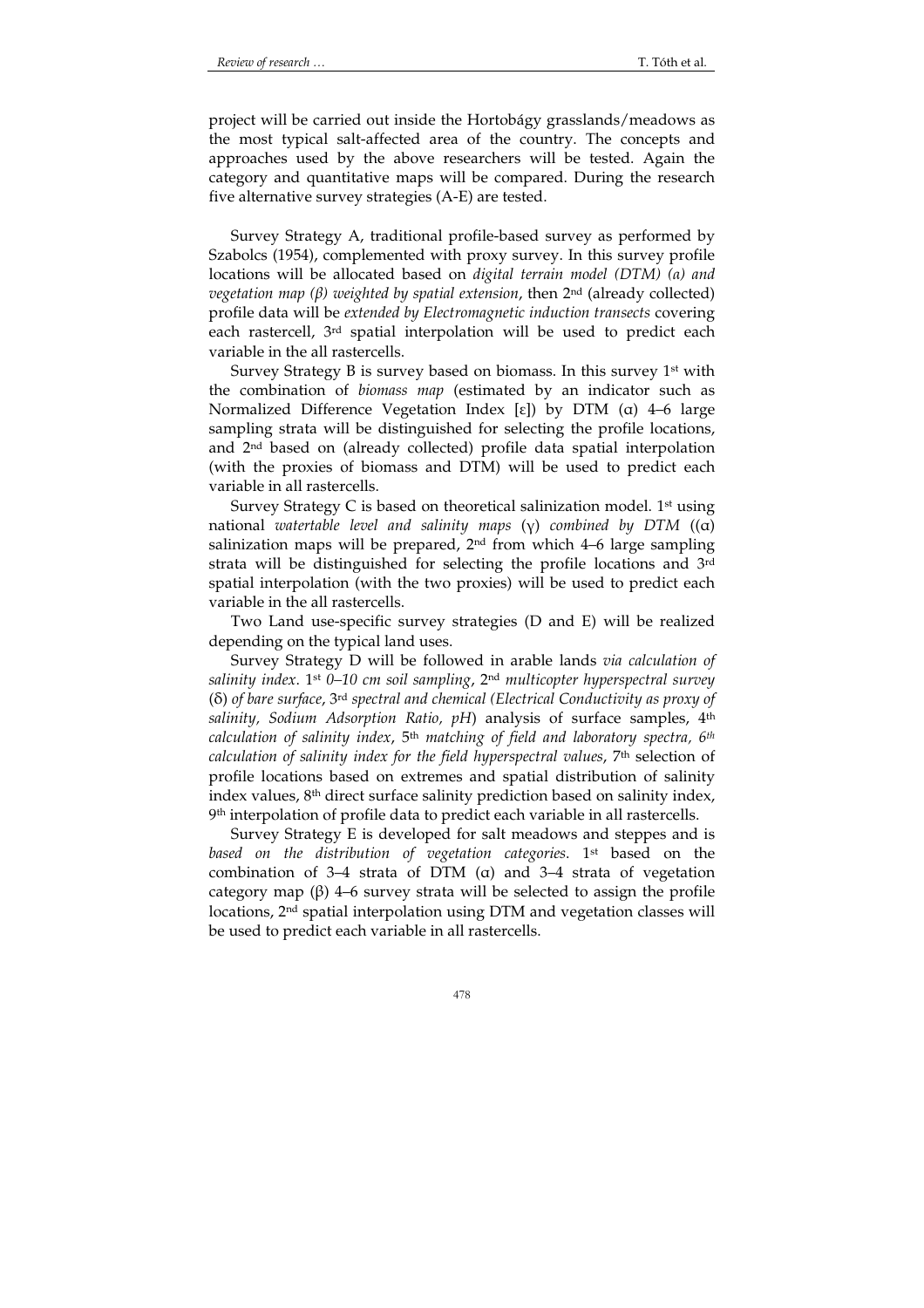project will be carried out inside the Hortobágy grasslands/meadows as the most typical salt-affected area of the country. The concepts and approaches used by the above researchers will be tested. Again the category and quantitative maps will be compared. During the research five alternative survey strategies (A-E) are tested.

Survey Strategy A, traditional profile-based survey as performed by Szabolcs (1954), complemented with proxy survey. In this survey profile locations will be allocated based on *digital terrain model (DTM) (α) and vegetation map (β) weighted by spatial extension*, then 2nd (already collected) profile data will be *extended by Electromagnetic induction transects* covering each rastercell, 3rd spatial interpolation will be used to predict each variable in the all rastercells.

Survey Strategy B is survey based on biomass. In this survey  $1<sup>st</sup>$  with the combination of *biomass map* (estimated by an indicator such as Normalized Difference Vegetation Index [ε]) by DTM (α) 4–6 large sampling strata will be distinguished for selecting the profile locations, and 2nd based on (already collected) profile data spatial interpolation (with the proxies of biomass and DTM) will be used to predict each variable in all rastercells.

Survey Strategy C is based on theoretical salinization model. 1st using national *watertable level and salinity maps* (γ) *combined by DTM* ((α) salinization maps will be prepared,  $2<sup>nd</sup>$  from which 4–6 large sampling strata will be distinguished for selecting the profile locations and 3rd spatial interpolation (with the two proxies) will be used to predict each variable in the all rastercells.

Two Land use-specific survey strategies (D and E) will be realized depending on the typical land uses.

Survey Strategy D will be followed in arable lands *via calculation of salinity index*. 1st *0–10 cm soil sampling*, 2nd *multicopter hyperspectral survey* (δ) *of bare surface*, 3rd *spectral and chemical (Electrical Conductivity as proxy of salinity, Sodium Adsorption Ratio, pH*) analysis of surface samples, 4th *calculation of salinity index*, 5th *matching of field and laboratory spectra, 6th calculation of salinity index for the field hyperspectral values*, 7th selection of profile locations based on extremes and spatial distribution of salinity index values, 8th direct surface salinity prediction based on salinity index, 9 th interpolation of profile data to predict each variable in all rastercells.

Survey Strategy E is developed for salt meadows and steppes and is *based on the distribution of vegetation categories*. 1st based on the combination of 3–4 strata of DTM (α) and 3–4 strata of vegetation category map (β) 4–6 survey strata will be selected to assign the profile locations, 2<sup>nd</sup> spatial interpolation using DTM and vegetation classes will be used to predict each variable in all rastercells.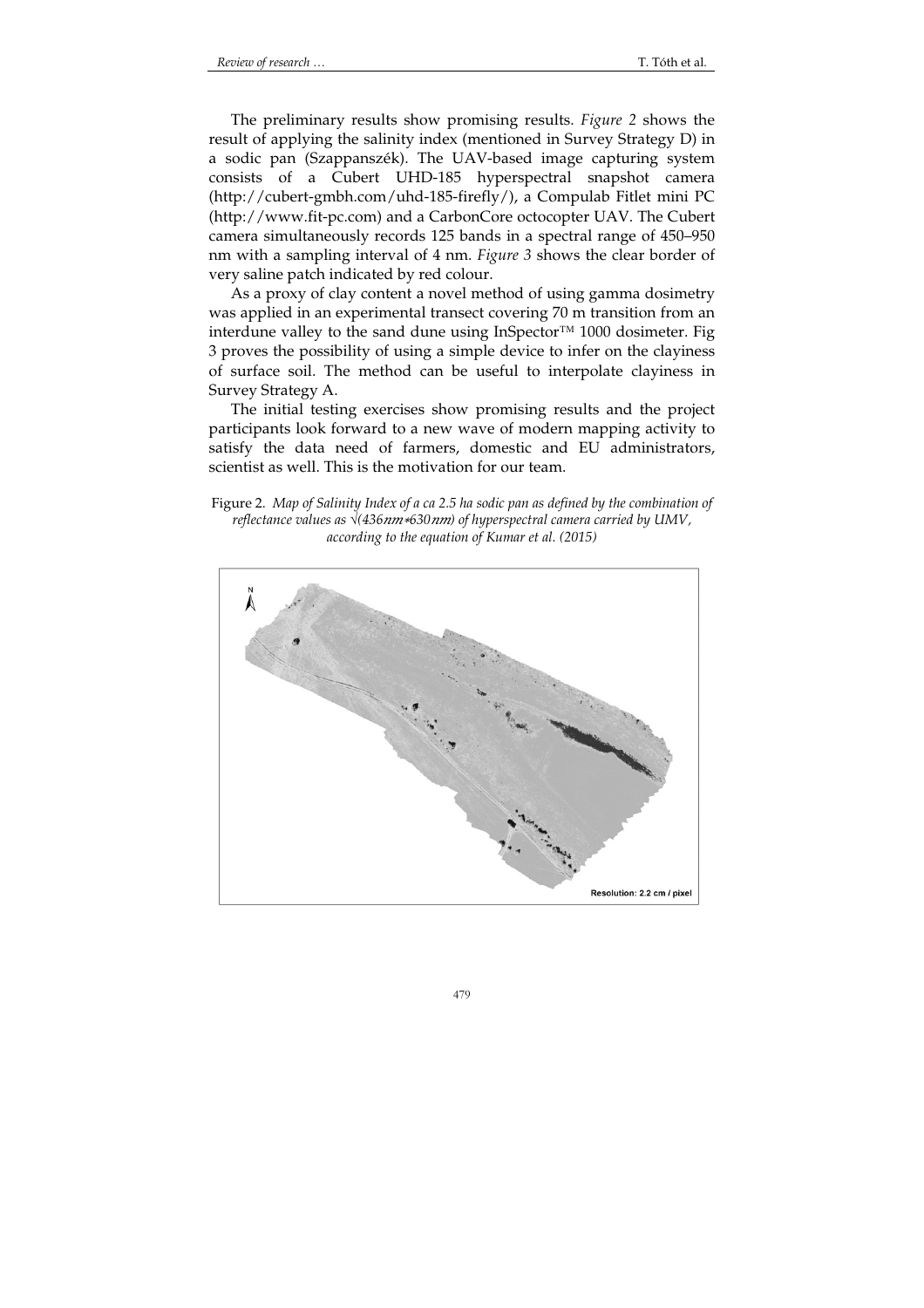The preliminary results show promising results. *Figure 2* shows the result of applying the salinity index (mentioned in Survey Strategy D) in a sodic pan (Szappanszék). The UAV-based image capturing system consists of a Cubert UHD-185 hyperspectral snapshot camera (http://cubert-gmbh.com/uhd-185-firefly/), a Compulab Fitlet mini PC (http://www.fit-pc.com) and a CarbonCore octocopter UAV. The Cubert camera simultaneously records 125 bands in a spectral range of 450–950 nm with a sampling interval of 4 nm. *Figure 3* shows the clear border of very saline patch indicated by red colour.

As a proxy of clay content a novel method of using gamma dosimetry was applied in an experimental transect covering 70 m transition from an interdune valley to the sand dune using InSpector™ 1000 dosimeter. Fig 3 proves the possibility of using a simple device to infer on the clayiness of surface soil. The method can be useful to interpolate clayiness in Survey Strategy A.

The initial testing exercises show promising results and the project participants look forward to a new wave of modern mapping activity to satisfy the data need of farmers, domestic and EU administrators, scientist as well. This is the motivation for our team.

Figure 2. *Map of Salinity Index of a ca 2.5 ha sodic pan as defined by the combination of reflectance values as √(436 nm∗630 nm) of hyperspectral camera carried by UMV, according to the equation of Kumar et al. (2015)* 

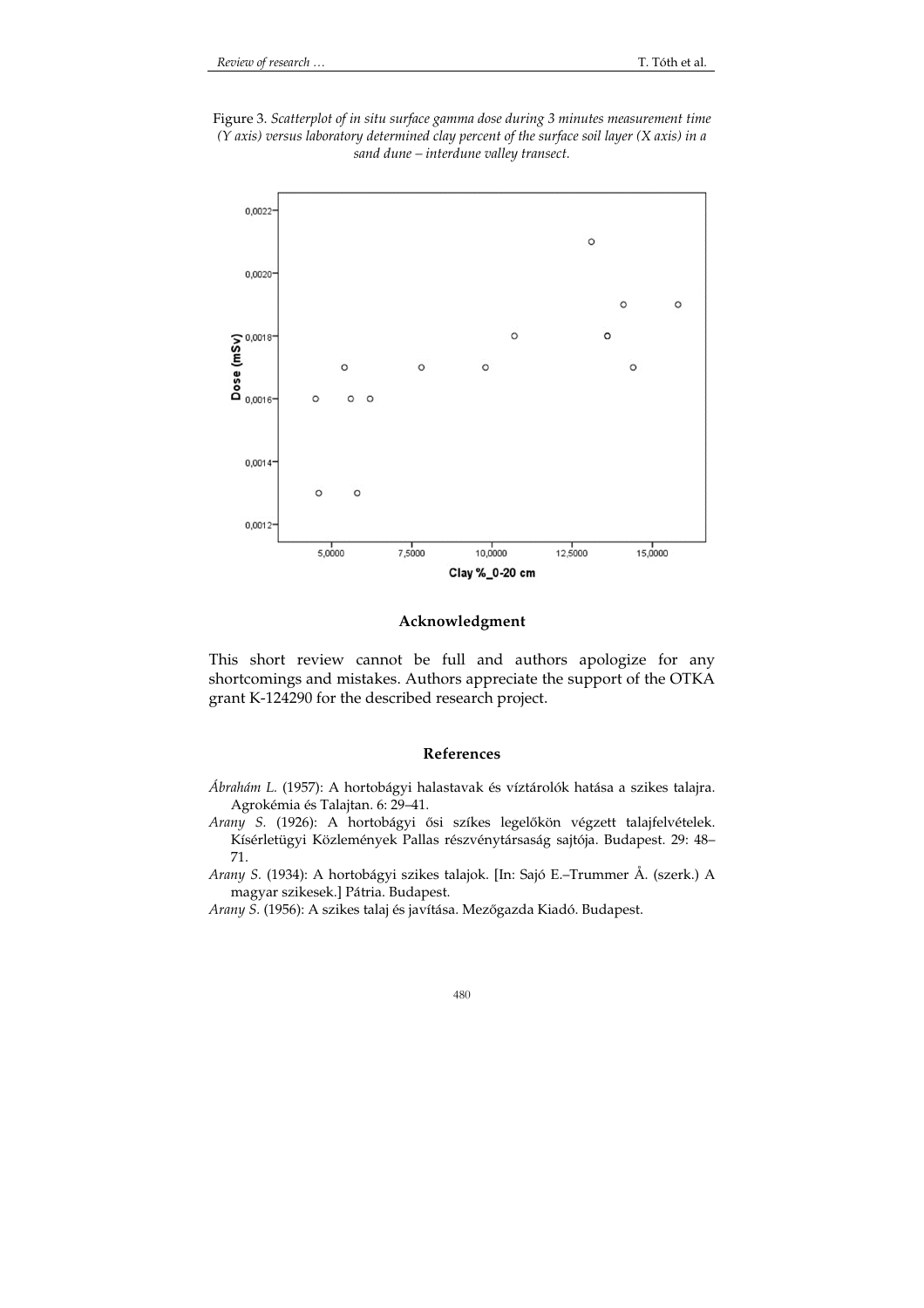Figure 3. *Scatterplot of in situ surface gamma dose during 3 minutes measurement time (Y axis) versus laboratory determined clay percent of the surface soil layer (X axis) in a sand dune – interdune valley transect.* 



# **Acknowledgment**

This short review cannot be full and authors apologize for any shortcomings and mistakes. Authors appreciate the support of the OTKA grant K-124290 for the described research project.

### **References**

- *Ábrahám L.* (1957): A hortobágyi halastavak és víztárolók hatása a szikes talajra. Agrokémia és Talajtan. 6: 29–41.
- *Arany S.* (1926): A hortobágyi ősi szíkes legelőkön végzett talajfelvételek. Kísérletügyi Közlemények Pallas részvénytársaság sajtója. Budapest. 29: 48– 71.
- *Arany S.* (1934): A hortobágyi szikes talajok. [In: Sajó E.–Trummer Å. (szerk.) A magyar szikesek.] Pátria. Budapest.

*Arany S.* (1956): A szikes talaj és javítása. Mezőgazda Kiadó. Budapest.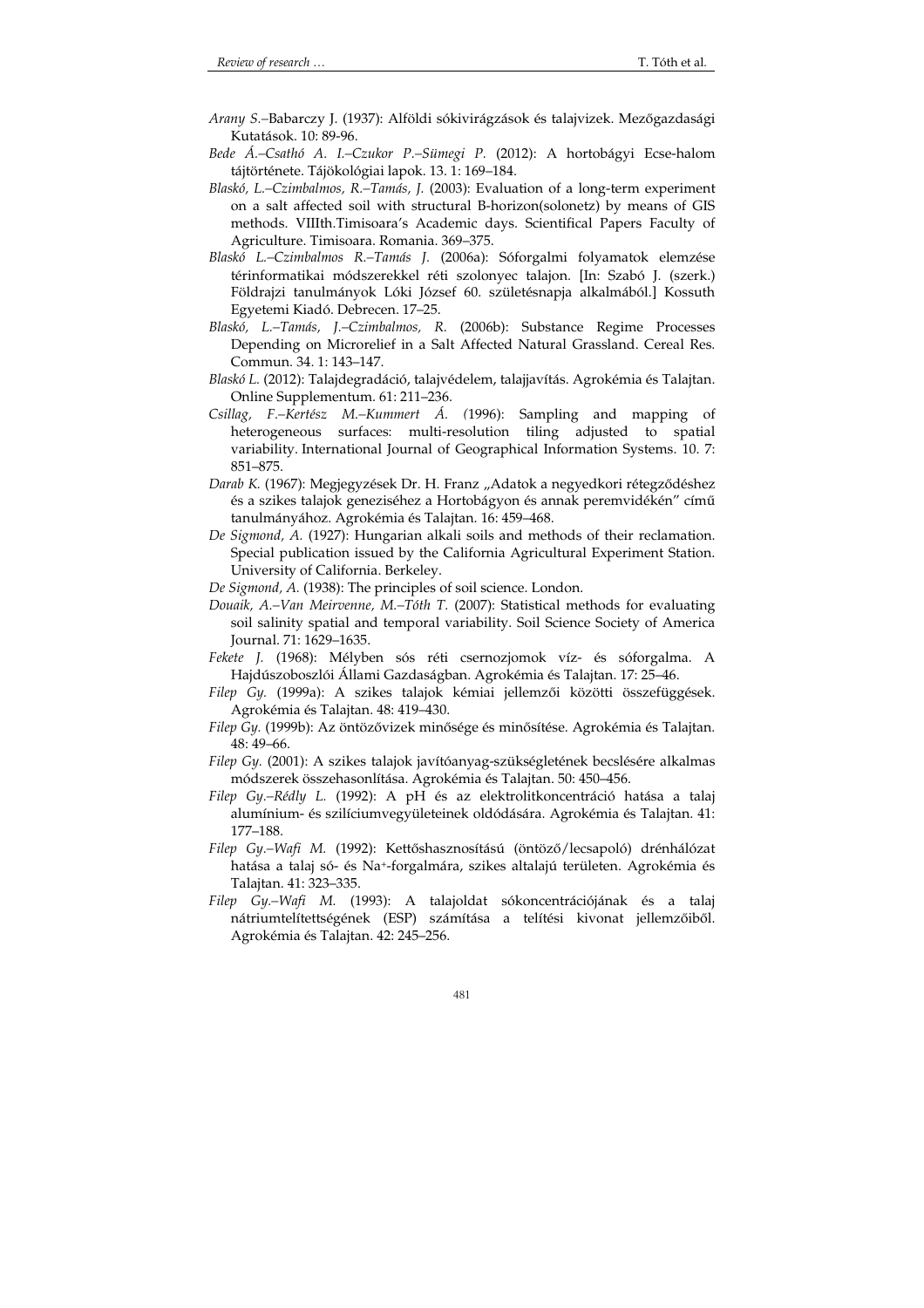- *Arany S.–*Babarczy J. (1937): Alföldi sókivirágzások és talajvizek. Mezőgazdasági Kutatások. 10: 89-96.
- *Bede Á.–Csathó A. I.–Czukor P.–Sümegi P.* (2012): A hortobágyi Ecse-halom tájtörténete. Tájökológiai lapok. 13. 1: 169–184.
- *Blaskó, L.–Czimbalmos, R.–Tamás, J.* (2003): Evaluation of a long-term experiment on a salt affected soil with structural B-horizon(solonetz) by means of GIS methods. VIIIth.Timisoara's Academic days. Scientifical Papers Faculty of Agriculture. Timisoara. Romania. 369–375.
- *Blaskó L.–Czimbalmos R.–Tamás J.* (2006a): Sóforgalmi folyamatok elemzése térinformatikai módszerekkel réti szolonyec talajon. [In: Szabó J. (szerk.) Földrajzi tanulmányok Lóki József 60. születésnapja alkalmából.] Kossuth Egyetemi Kiadó. Debrecen. 17–25.
- *Blaskó, L.–Tamás, J.–Czimbalmos, R.* (2006b): Substance Regime Processes Depending on Microrelief in a Salt Affected Natural Grassland. Cereal Res. Commun. 34. 1: 143–147.
- *Blaskó L.* (2012): Talajdegradáció, talajvédelem, talajjavítás. Agrokémia és Talajtan. Online Supplementum. 61: 211–236.
- *Csillag, F.–Kertész M.–Kummert Á. (*1996): Sampling and mapping of heterogeneous surfaces: multi-resolution tiling adjusted to spatial variability. International Journal of Geographical Information Systems. 10. 7: 851–875.
- Darab K. (1967): Megjegyzések Dr. H. Franz "Adatok a negyedkori rétegződéshez és a szikes talajok geneziséhez a Hortobágyon és annak peremvidékén" című tanulmányához. Agrokémia és Talajtan. 16: 459–468.
- *De Sigmond, A.* (1927): Hungarian alkali soils and methods of their reclamation. Special publication issued by the California Agricultural Experiment Station. University of California. Berkeley.
- *De Sigmond, A.* (1938): The principles of soil science. London.
- *Douaik, A.–Van Meirvenne, M.–Tóth T.* (2007): Statistical methods for evaluating soil salinity spatial and temporal variability. Soil Science Society of America Journal. 71: 1629–1635.
- *Fekete J.* (1968): Mélyben sós réti csernozjomok víz- és sóforgalma. A Hajdúszoboszlói Állami Gazdaságban. Agrokémia és Talajtan. 17: 25–46.
- *Filep Gy.* (1999a): A szikes talajok kémiai jellemzői közötti összefüggések. Agrokémia és Talajtan. 48: 419–430.
- *Filep Gy.* (1999b): Az öntözővizek minősége és minősítése. Agrokémia és Talajtan. 48: 49–66.
- *Filep Gy.* (2001): A szikes talajok javítóanyag-szükségletének becslésére alkalmas módszerek összehasonlítása. Agrokémia és Talajtan. 50: 450–456.
- *Filep Gy.–Rédly L.* (1992): A pH és az elektrolitkoncentráció hatása a talaj alumínium- és szilíciumvegyületeinek oldódására. Agrokémia és Talajtan. 41: 177–188.
- *Filep Gy.–Wafi M.* (1992): Kettőshasznosítású (öntöző/lecsapoló) drénhálózat hatása a talaj só- és Na+-forgalmára, szikes altalajú területen. Agrokémia és Talajtan. 41: 323–335.
- *Filep Gy.–Wafi M.* (1993): A talajoldat sókoncentrációjának és a talaj nátriumtelítettségének (ESP) számítása a telítési kivonat jellemzőiből. Agrokémia és Talajtan. 42: 245–256.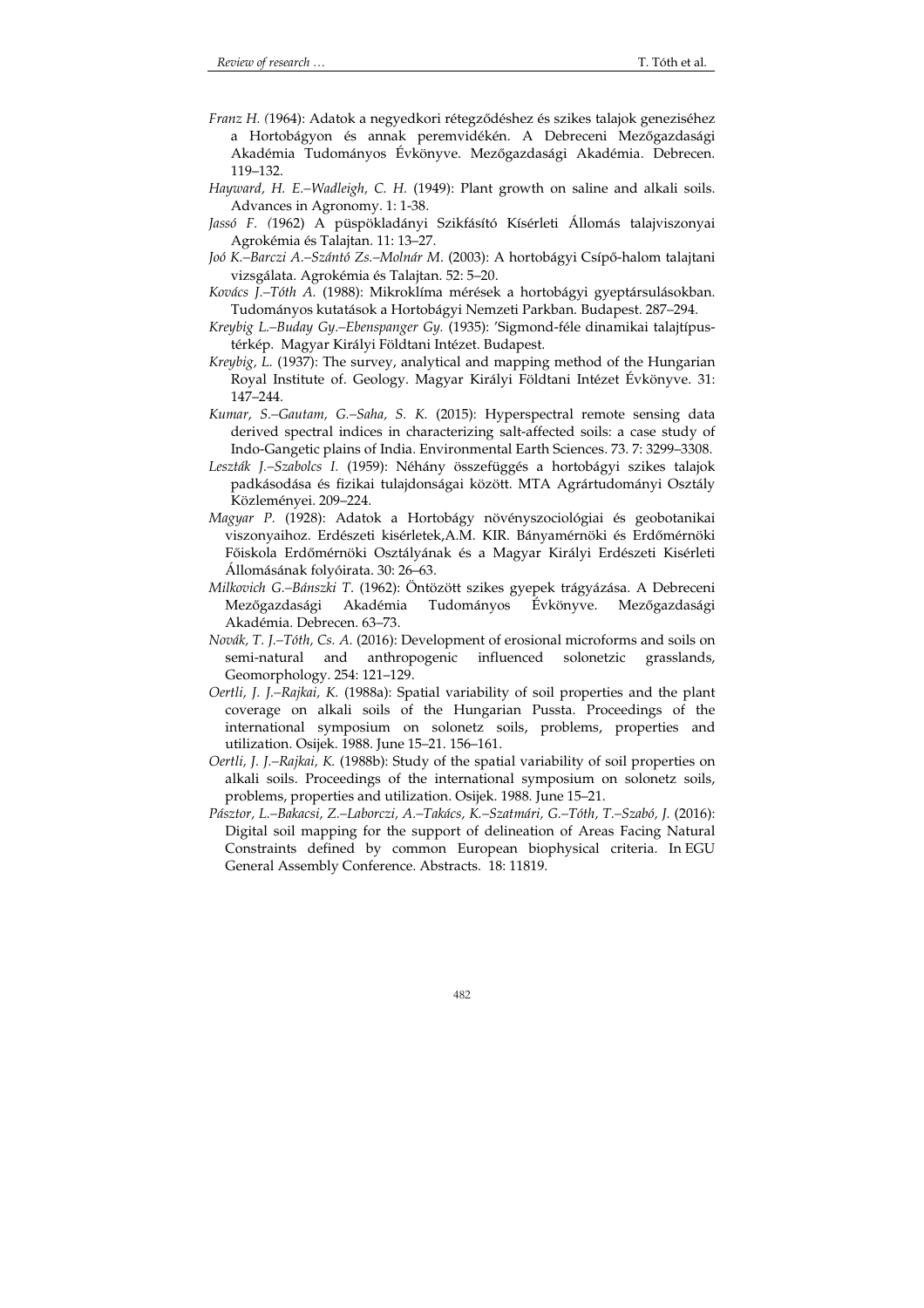- *Franz H. (*1964): Adatok a negyedkori rétegződéshez és szikes talajok geneziséhez a Hortobágyon és annak peremvidékén. A Debreceni Mezőgazdasági Akadémia Tudományos Évkönyve. Mezőgazdasági Akadémia. Debrecen. 119–132.
- *Hayward, H. E.–Wadleigh, C. H.* (1949): Plant growth on saline and alkali soils. Advances in Agronomy. 1: 1-38.
- *Jassó F. (*1962) A püspökladányi Szikfásító Kísérleti Állomás talajviszonyai Agrokémia és Talajtan. 11: 13–27.
- *Joó K.–Barczi A.–Szántó Zs.–Molnár M*. (2003): A hortobágyi Csípő-halom talajtani vizsgálata. Agrokémia és Talajtan. 52: 5–20.
- *Kovács J.–Tóth A.* (1988): Mikroklíma mérések a hortobágyi gyeptársulásokban. Tudományos kutatások a Hortobágyi Nemzeti Parkban. Budapest. 287–294.
- *Kreybig L.–Buday Gy.–Ebenspanger Gy.* (1935): 'Sigmond-féle dinamikai talajtípustérkép. Magyar Királyi Földtani Intézet. Budapest.
- *Kreybig, L.* (1937): The survey, analytical and mapping method of the Hungarian Royal Institute of. Geology. Magyar Királyi Földtani Intézet Évkönyve. 31: 147–244.
- *Kumar, S.–Gautam, G.–Saha, S. K.* (2015): Hyperspectral remote sensing data derived spectral indices in characterizing salt-affected soils: a case study of Indo-Gangetic plains of India. Environmental Earth Sciences. 73. 7: 3299–3308.
- *Leszták J.–Szabolcs I.* (1959): Néhány összefüggés a hortobágyi szikes talajok padkásodása és fizikai tulajdonságai között. MTA Agrártudományi Osztály Közleményei. 209–224.
- *Magyar P.* (1928): Adatok a Hortobágy növényszociológiai és geobotanikai viszonyaihoz. Erdészeti kisérletek,A.M. KIR. Bányamérnöki és Erdőmérnöki Főiskola Erdőmérnöki Osztályának és a Magyar Királyi Erdészeti Kisérleti Állomásának folyóirata. 30: 26–63.
- *Milkovich G.–Bánszki T*. (1962): Öntözött szikes gyepek trágyázása. A Debreceni Mezőgazdasági Akadémia Tudományos Évkönyve. Mezőgazdasági Akadémia. Debrecen. 63–73.
- *Novák, T. J.–Tóth, Cs. A.* (2016): Development of erosional microforms and soils on semi-natural and anthropogenic influenced solonetzic grasslands, Geomorphology. 254: 121–129.
- *Oertli, J. J.–Rajkai, K.* (1988a): Spatial variability of soil properties and the plant coverage on alkali soils of the Hungarian Pussta. Proceedings of the international symposium on solonetz soils, problems, properties and utilization. Osijek. 1988. June 15–21. 156–161.
- *Oertli, J. J.–Rajkai, K.* (1988b): Study of the spatial variability of soil properties on alkali soils. Proceedings of the international symposium on solonetz soils, problems, properties and utilization. Osijek. 1988. June 15–21.
- *Pásztor, L.–Bakacsi, Z.–Laborczi, A.–Takács, K.–Szatmári, G.–Tóth, T.–Szabó, J.* (2016): Digital soil mapping for the support of delineation of Areas Facing Natural Constraints defined by common European biophysical criteria. In EGU General Assembly Conference. Abstracts. 18: 11819.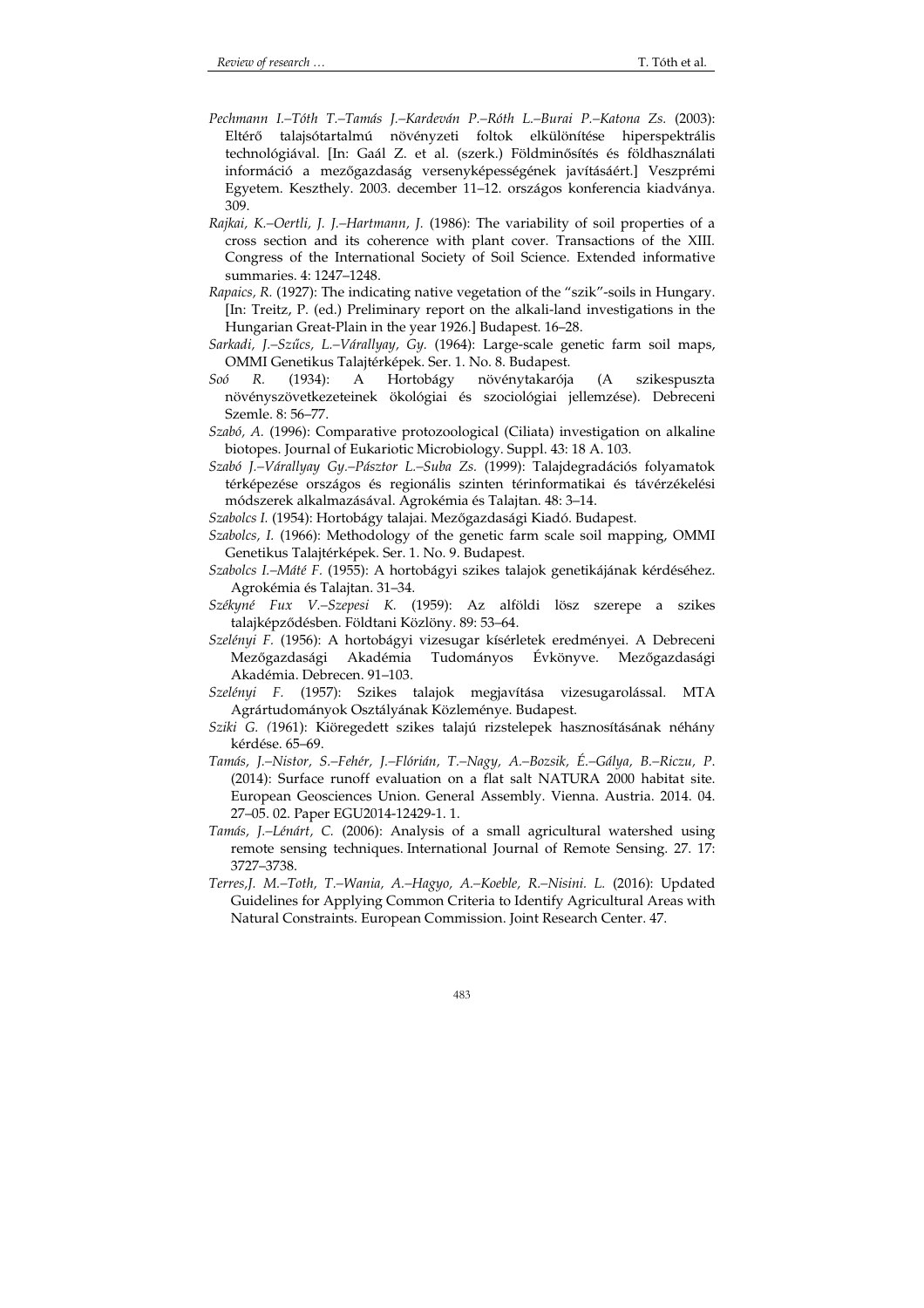- *Pechmann I.–Tóth T.–Tamás J.–Kardeván P.–Róth L.–Burai P.–Katona Zs.* (2003): Eltérő talajsótartalmú növényzeti foltok elkülönítése hiperspektrális technológiával. [In: Gaál Z. et al. (szerk.) Földminősítés és földhasználati információ a mezőgazdaság versenyképességének javításáért.] Veszprémi Egyetem. Keszthely. 2003. december 11–12. országos konferencia kiadványa. 309.
- *Rajkai, K.–Oertli, J. J.–Hartmann, J.* (1986): The variability of soil properties of a cross section and its coherence with plant cover. Transactions of the XIII. Congress of the International Society of Soil Science. Extended informative summaries. 4: 1247–1248.
- *Rapaics, R.* (1927): The indicating native vegetation of the "szik"-soils in Hungary. [In: Treitz, P. (ed.) Preliminary report on the alkali-land investigations in the Hungarian Great-Plain in the year 1926.] Budapest. 16–28.
- *Sarkadi, J.–Szűcs, L.–Várallyay, Gy.* (1964): Large-scale genetic farm soil maps, OMMI Genetikus Talajtérképek. Ser. 1. No. 8. Budapest.
- *Soó R.* (1934): A Hortobágy növénytakarója (A szikespuszta növényszövetkezeteinek ökológiai és szociológiai jellemzése). Debreceni Szemle. 8: 56–77.
- *Szabó, A.* (1996): Comparative protozoological (Ciliata) investigation on alkaline biotopes. Journal of Eukariotic Microbiology. Suppl. 43: 18 A. 103.
- *Szabó J.–Várallyay Gy.–Pásztor L.–Suba Zs.* (1999): Talajdegradációs folyamatok térképezése országos és regionális szinten térinformatikai és távérzékelési módszerek alkalmazásával. Agrokémia és Talajtan. 48: 3–14.
- *Szabolcs I.* (1954): Hortobágy talajai. Mezőgazdasági Kiadó. Budapest.
- *Szabolcs, I.* (1966): Methodology of the genetic farm scale soil mapping, OMMI Genetikus Talajtérképek. Ser. 1. No. 9. Budapest.
- *Szabolcs I.–Máté F.* (1955): A hortobágyi szikes talajok genetikájának kérdéséhez. Agrokémia és Talajtan. 31–34.
- *Székyné Fux V.–Szepesi K.* (1959): Az alföldi lösz szerepe a szikes talajképződésben. Földtani Közlöny. 89: 53–64.
- *Szelényi F.* (1956): A hortobágyi vizesugar kísérletek eredményei. A Debreceni Mezőgazdasági Akadémia Tudományos Évkönyve. Mezőgazdasági Akadémia. Debrecen. 91–103.
- *Szelényi F.* (1957): Szikes talajok megjavítása vizesugarolással. MTA Agrártudományok Osztályának Közleménye. Budapest.
- *Sziki G. (*1961): Kiöregedett szikes talajú rizstelepek hasznosításának néhány kérdése. 65–69.
- *Tamás, J.–Nistor, S.–Fehér, J.–Flórián, T.–Nagy, A.–Bozsik, É.–Gálya, B.–Riczu, P*. (2014): Surface runoff evaluation on a flat salt NATURA 2000 habitat site. European Geosciences Union. General Assembly. Vienna. Austria. 2014. 04. 27–05. 02. Paper EGU2014-12429-1. 1.
- *Tamás, J.–Lénárt, C.* (2006): Analysis of a small agricultural watershed using remote sensing techniques. International Journal of Remote Sensing. 27. 17: 3727–3738.
- *Terres,J. M.–Toth, T.–Wania, A.–Hagyo, A.–Koeble, R.–Nisini. L.* (2016): Updated Guidelines for Applying Common Criteria to Identify Agricultural Areas with Natural Constraints. European Commission. Joint Research Center. 47.